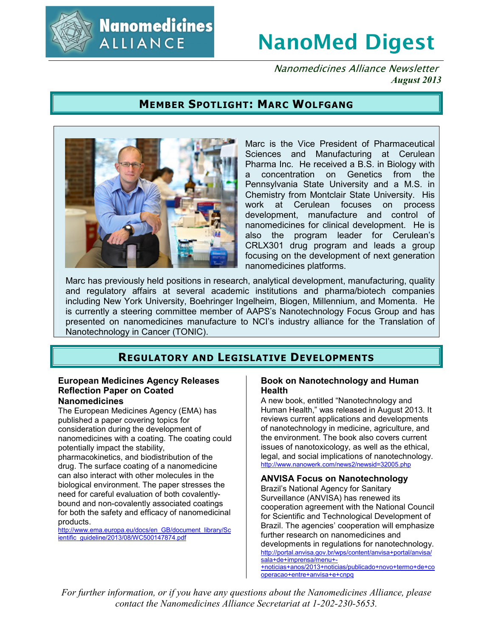

**Nanomedicines ALLIANCE** 

# **NanoMed Digest**

Nanomedicines Alliance Newsletter *August 2013*

# **MEMBER SPOTLIGHT: MARC WOLFGANG**



Marc is the Vice President of Pharmaceutical Sciences and Manufacturing at Cerulean Pharma Inc. He received a B.S. in Biology with a concentration on Genetics from the Pennsylvania State University and a M.S. in Chemistry from Montclair State University. His work at Cerulean focuses on process development, manufacture and control of nanomedicines for clinical development. He is also the program leader for Cerulean's CRLX301 drug program and leads a group focusing on the development of next generation nanomedicines platforms.

Marc has previously held positions in research, analytical development, manufacturing, quality and regulatory affairs at several academic institutions and pharma/biotech companies including New York University, Boehringer Ingelheim, Biogen, Millennium, and Momenta. He is currently a steering committee member of AAPS's Nanotechnology Focus Group and has presented on nanomedicines manufacture to NCI's industry alliance for the Translation of Nanotechnology in Cancer (TONIC).

# **REGULATORY AND LEGISLATIVE DEVELOPMENTS**

#### **European Medicines Agency Releases Reflection Paper on Coated Nanomedicines**

The European Medicines Agency (EMA) has published a paper covering topics for consideration during the development of nanomedicines with a coating. The coating could potentially impact the stability, pharmacokinetics, and biodistribution of the drug. The surface coating of a nanomedicine can also interact with other molecules in the biological environment. The paper stresses the need for careful evaluation of both covalentlybound and non-covalently associated coatings for both the safety and efficacy of nanomedicinal products.

http://www.ema.europa.eu/docs/en\_GB/document\_library/Sc ientific\_quideline/2013/08/WC500147874.pdf

#### **Book on Nanotechnology and Human Health**

A new book, entitled "Nanotechnology and Human Health," was released in August 2013. It reviews current applications and developments of nanotechnology in medicine, agriculture, and the environment. The book also covers current issues of nanotoxicology, as well as the ethical, legal, and social implications of nanotechnology. http://www.nanowerk.com/news2/newsid=32005.php

#### **ANVISA Focus on Nanotechnology** Brazil's National Agency for Sanitary Surveillance (ANVISA) has renewed its cooperation agreement with the National Council for Scientific and Technological Development of Brazil. The agencies' cooperation will emphasize further research on nanomedicines and developments in regulations for nanotechnology. http://portal.anvisa.gov.br/wps/content/anvisa+portal/anvisa/ sala+de+imprensa/menu+-

+noticias+anos/2013+noticias/publicado+novo+termo+de+co operacao+entre+anvisa+e+cnpq

*For further information, or if you have any questions about the Nanomedicines Alliance, please contact the Nanomedicines Alliance Secretariat at 1-202-230-5653.*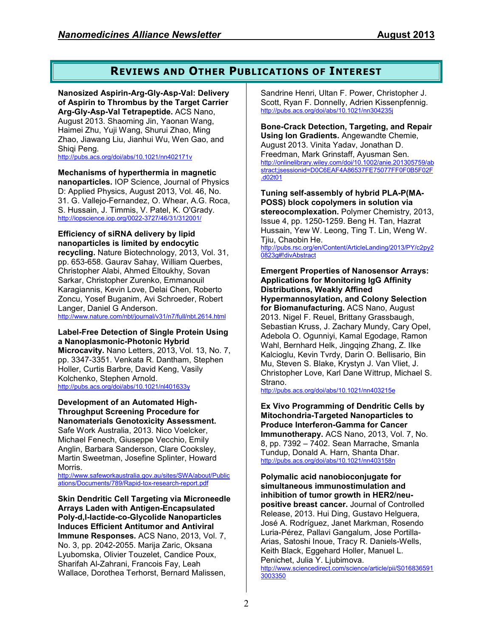# **REVIEWS AND OTHER PUBLICATIONS OF INTEREST**

**Nanosized Aspirin-Arg-Gly-Asp-Val: Delivery of Aspirin to Thrombus by the Target Carrier Arg-Gly-Asp-Val Tetrapeptide.** ACS Nano, August 2013. Shaoming Jin, Yaonan Wang, Haimei Zhu, Yuji Wang, Shurui Zhao, Ming Zhao, Jiawang Liu, Jianhui Wu, Wen Gao, and Shigi Peng.

http://pubs.acs.org/doi/abs/10.1021/nn402171v

#### **Mechanisms of hyperthermia in magnetic**

**nanoparticles.** IOP Science, Journal of Physics D: Applied Physics, August 2013, Vol. 46, No. 31. G. Vallejo-Fernandez, O. Whear, A.G. Roca, S. Hussain, J. Timmis, V. Patel, K. O'Grady. http://iopscience.iop.org/0022-3727/46/31/312001/

#### **Efficiency of siRNA delivery by lipid nanoparticles is limited by endocytic**

**recycling.** Nature Biotechnology, 2013, Vol. 31, pp. 653-658. Gaurav Sahay, William Querbes, Christopher Alabi, Ahmed Eltoukhy, Sovan Sarkar, Christopher Zurenko, Emmanouil Karagiannis, Kevin Love, Delai Chen, Roberto Zoncu, Yosef Buganim, Avi Schroeder, Robert Langer, Daniel G Anderson.

http://www.nature.com/nbt/journal/v31/n7/full/nbt.2614.html

#### **Label-Free Detection of Single Protein Using a Nanoplasmonic-Photonic Hybrid**

**Microcavity.** Nano Letters, 2013, Vol. 13, No. 7, pp. 3347-3351. Venkata R. Dantham, Stephen Holler, Curtis Barbre, David Keng, Vasily Kolchenko, Stephen Arnold. http://pubs.acs.org/doi/abs/10.1021/nl401633y

#### **Development of an Automated High-Throughput Screening Procedure for Nanomaterials Genotoxicity Assessment.**

Safe Work Australia, 2013. Nico Voelcker, Michael Fenech, Giuseppe Vecchio, Emily Anglin, Barbara Sanderson, Clare Cooksley, Martin Sweetman, Josefine Splinter, Howard Morris.

http://www.safeworkaustralia.gov.au/sites/SWA/about/Public ations/Documents/789/Rapid-tox-research-report.pdf

**Skin Dendritic Cell Targeting via Microneedle Arrays Laden with Antigen-Encapsulated Poly-d,l-lactide-co-Glycolide Nanoparticles Induces Efficient Antitumor and Antiviral Immune Responses.** ACS Nano, 2013, Vol. 7, No. 3, pp. 2042-2055. Marija Zaric, Oksana Lyubomska, Olivier Touzelet, Candice Poux, Sharifah Al-Zahrani, Francois Fay, Leah Wallace, Dorothea Terhorst, Bernard Malissen,

Sandrine Henri, Ultan F. Power, Christopher J. Scott, Ryan F. Donnelly, Adrien Kissenpfennig. http://pubs.acs.org/doi/abs/10.1021/nn304235j

**Bone-Crack Detection, Targeting, and Repair Using Ion Gradients.** Angewandte Chemie, August 2013. Vinita Yadav, Jonathan D. Freedman, Mark Grinstaff, Ayusman Sen. http://onlinelibrary.wiley.com/doi/10.1002/anie.201305759/ab stract;jsessionid=D0C6EAF4A86537FE75077FF0F0B5F02F .d02t01

**Tuning self-assembly of hybrid PLA-P(MA-POSS) block copolymers in solution via stereocomplexation.** Polymer Chemistry, 2013, Issue 4, pp. 1250-1259. Beng H. Tan, Hazrat Hussain, Yew W. Leong, Ting T. Lin, Weng W. Tjiu, Chaobin He.

http://pubs.rsc.org/en/Content/ArticleLanding/2013/PY/c2py2 0823g#!divAbstract

#### **Emergent Properties of Nanosensor Arrays: Applications for Monitoring IgG Affinity Distributions, Weakly Affined Hypermannosylation, and Colony Selection for Biomanufacturing.** ACS Nano, August 2013. Nigel F. Reuel, Brittany Grassbaugh, Sebastian Kruss, J. Zachary Mundy, Cary Opel, Adebola O. Ogunniyi, Kamal Egodage, Ramon Wahl, Bernhard Helk, Jingqing Zhang, Z. Ilke Kalcioglu, Kevin Tvrdy, Darin O. Bellisario, Bin Mu, Steven S. Blake, Krystyn J. Van Vliet, J. Christopher Love, Karl Dane Wittrup, Michael S. Strano.

http://pubs.acs.org/doi/abs/10.1021/nn403215e

**Ex Vivo Programming of Dendritic Cells by Mitochondria-Targeted Nanoparticles to Produce Interferon-Gamma for Cancer Immunotherapy.** ACS Nano, 2013, Vol. 7, No. 8, pp. 7392 – 7402. Sean Marrache, Smanla Tundup, Donald A. Harn, Shanta Dhar. http://pubs.acs.org/doi/abs/10.1021/nn403158n

**Polymalic acid nanobioconjugate for simultaneous immunostimulation and inhibition of tumor growth in HER2/neupositive breast cancer.** Journal of Controlled Release, 2013. Hui Ding, Gustavo Helguera, José A. Rodríguez, Janet Markman, Rosendo Luria-Pérez, Pallavi Gangalum, Jose Portilla-Arias, Satoshi Inoue, Tracy R. Daniels-Wells, Keith Black, Eggehard Holler, Manuel L. Penichet, Julia Y. Ljubimova.

http://www.sciencedirect.com/science/article/pii/S016836591 3003350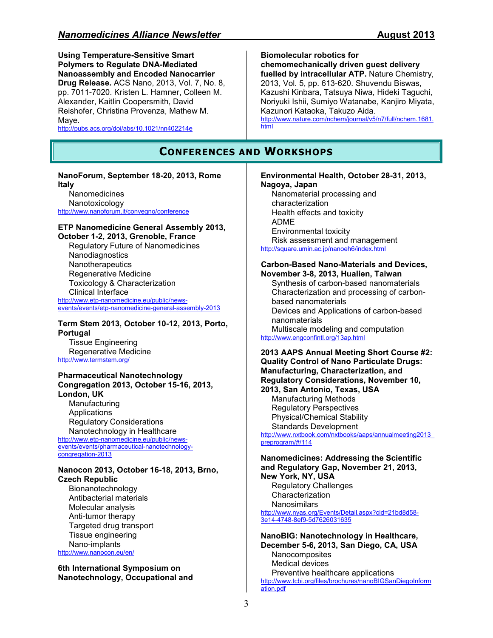**Using Temperature-Sensitive Smart Polymers to Regulate DNA-Mediated Nanoassembly and Encoded Nanocarrier Drug Release.** ACS Nano, 2013, Vol. 7, No. 8, pp. 7011-7020. Kristen L. Hamner, Colleen M. Alexander, Kaitlin Coopersmith, David Reishofer, Christina Provenza, Mathew M. Maye. http://pubs.acs.org/doi/abs/10.1021/nn402214e

## **CONFERENCES AND WORKSHOPS**

#### **NanoForum, September 18-20, 2013, Rome Italy**

**Nanomedicines** Nanotoxicology http://www.nanoforum.it/convegno/conference

#### **ETP Nanomedicine General Assembly 2013, October 1-2, 2013, Grenoble, France**

Regulatory Future of Nanomedicines Nanodiagnostics **Nanotherapeutics** Regenerative Medicine Toxicology & Characterization Clinical Interface http://www.etp-nanomedicine.eu/public/news-

events/events/etp-nanomedicine-general-assembly-2013

**Term Stem 2013, October 10-12, 2013, Porto, Portugal** 

Tissue Engineering Regenerative Medicine http://www.termstem.org/

#### **Pharmaceutical Nanotechnology Congregation 2013, October 15-16, 2013, London, UK**

**Manufacturing** Applications Regulatory Considerations Nanotechnology in Healthcare http://www.etp-nanomedicine.eu/public/newsevents/events/pharmaceutical-nanotechnology-

congregation-2013

### **Nanocon 2013, October 16-18, 2013, Brno, Czech Republic**

Bionanotechnology Antibacterial materials Molecular analysis Anti-tumor therapy Targeted drug transport Tissue engineering Nano-implants http://www.nanocon.eu/en/

**6th International Symposium on Nanotechnology, Occupational and** 

#### **Biomolecular robotics for**

**chemomechanically driven guest delivery fuelled by intracellular ATP.** Nature Chemistry, 2013, Vol. 5, pp. 613-620. Shuvendu Biswas, Kazushi Kinbara, Tatsuya Niwa, Hideki Taguchi, Noriyuki Ishii, Sumiyo Watanabe, Kanjiro Miyata, Kazunori Kataoka, Takuzo Aida.

http://www.nature.com/nchem/journal/v5/n7/full/nchem.1681. html

## **Environmental Health, October 28-31, 2013, Nagoya, Japan**

Nanomaterial processing and characterization Health effects and toxicity ADME Environmental toxicity Risk assessment and management http://square.umin.ac.jp/nanoeh6/index.html

## **Carbon-Based Nano-Materials and Devices,**

**November 3-8, 2013, Hualien, Taiwan**  Synthesis of carbon-based nanomaterials Characterization and processing of carbonbased nanomaterials Devices and Applications of carbon-based nanomaterials Multiscale modeling and computation

http://www.engconfintl.org/13ap.html

#### **2013 AAPS Annual Meeting Short Course #2: Quality Control of Nano Particulate Drugs: Manufacturing, Characterization, and Regulatory Considerations, November 10, 2013, San Antonio, Texas, USA**

Manufacturing Methods Regulatory Perspectives Physical/Chemical Stability Standards Development

http://www.nxtbook.com/nxtbooks/aaps/annualmeeting2013 preprogram/#/114

## **Nanomedicines: Addressing the Scientific and Regulatory Gap, November 21, 2013, New York, NY, USA**

Regulatory Challenges Characterization **Nanosimilars** http://www.nyas.org/Events/Detail.aspx?cid=21bd8d58- 3e14-4748-8ef9-5d7626031635

**NanoBIG: Nanotechnology in Healthcare, December 5-6, 2013, San Diego, CA, USA Nanocomposites** Medical devices Preventive healthcare applications http://www.tcbi.org/files/brochures/nanoBIGSanDiegoInform ation.pdf